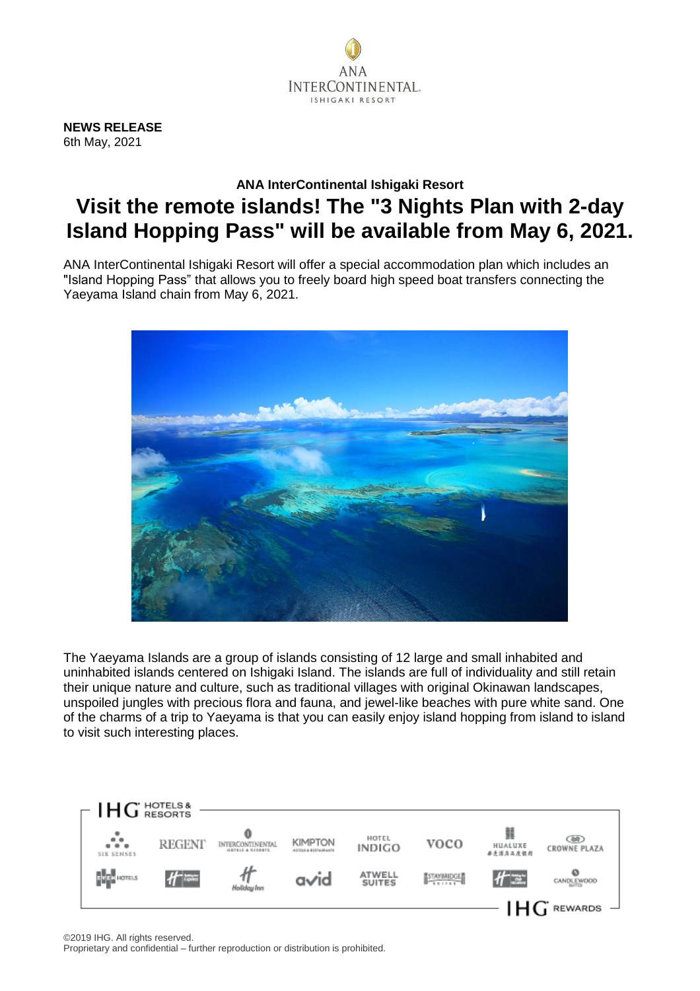

**NEWS RELEASE** 6th May, 2021

## **ANA InterContinental Ishigaki Resort Visit the remote islands! The "3 Nights Plan with 2-day Island Hopping Pass" will be available from May 6, 2021.**

ANA InterContinental Ishigaki Resort will offer a special accommodation plan which includes an "Island Hopping Pass" that allows you to freely board high speed boat transfers connecting the Yaeyama Island chain from May 6, 2021.



The Yaeyama Islands are a group of islands consisting of 12 large and small inhabited and uninhabited islands centered on Ishigaki Island. The islands are full of individuality and still retain their unique nature and culture, such as traditional villages with original Okinawan landscapes, unspoiled jungles with precious flora and fauna, and jewel-like beaches with pure white sand. One of the charms of a trip to Yaeyama is that you can easily enjoy island hopping from island to island to visit such interesting places.

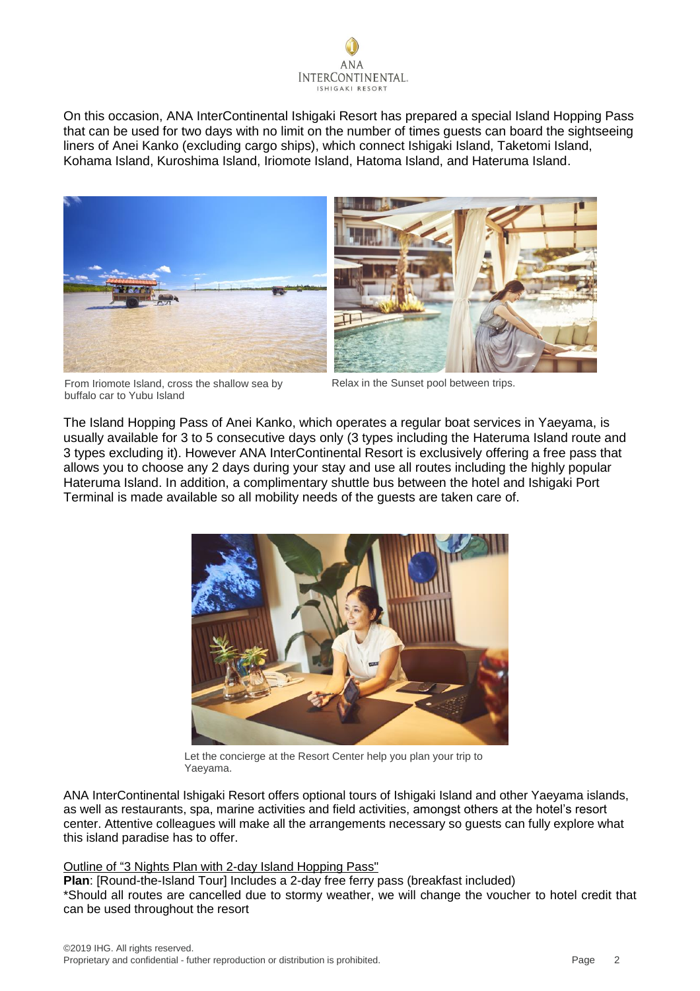

On this occasion, ANA InterContinental Ishigaki Resort has prepared a special Island Hopping Pass that can be used for two days with no limit on the number of times guests can board the sightseeing liners of Anei Kanko (excluding cargo ships), which connect Ishigaki Island, Taketomi Island, Kohama Island, Kuroshima Island, Iriomote Island, Hatoma Island, and Hateruma Island.



From Iriomote Island, cross the shallow sea by buffalo car to Yubu Island

Relax in the Sunset pool between trips.

The Island Hopping Pass of Anei Kanko, which operates a regular boat services in Yaeyama, is usually available for 3 to 5 consecutive days only (3 types including the Hateruma Island route and 3 types excluding it). However ANA InterContinental Resort is exclusively offering a free pass that allows you to choose any 2 days during your stay and use all routes including the highly popular Hateruma Island. In addition, a complimentary shuttle bus between the hotel and Ishigaki Port Terminal is made available so all mobility needs of the guests are taken care of.



Let the concierge at the Resort Center help you plan your trip to Yaeyama.

ANA InterContinental Ishigaki Resort offers optional tours of Ishigaki Island and other Yaeyama islands, as well as restaurants, spa, marine activities and field activities, amongst others at the hotel's resort center. Attentive colleagues will make all the arrangements necessary so guests can fully explore what this island paradise has to offer.

## Outline of "3 Nights Plan with 2-day Island Hopping Pass"

**Plan**: [Round-the-Island Tour] Includes a 2-day free ferry pass (breakfast included) \*Should all routes are cancelled due to stormy weather, we will change the voucher to hotel credit that can be used throughout the resort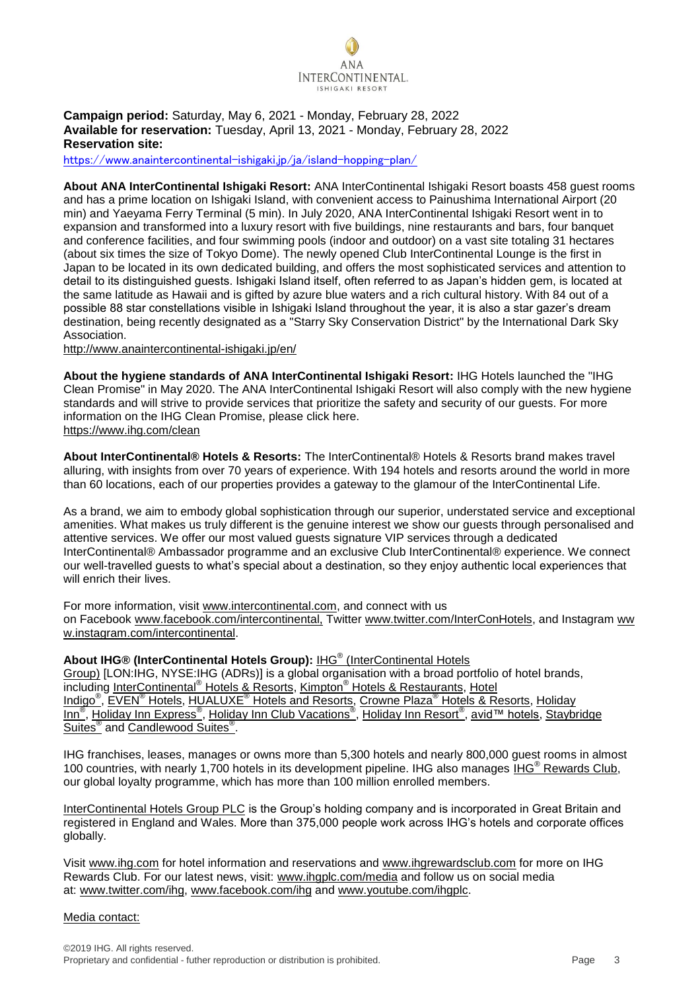

## **Campaign period:** Saturday, May 6, 2021 - Monday, February 28, 2022 **Available for reservation:** Tuesday, April 13, 2021 - Monday, February 28, 2022 **Reservation site:**

<https://www.anaintercontinental-ishigaki.jp/ja/island-hopping-plan/>

**About ANA InterContinental Ishigaki Resort:** ANA InterContinental Ishigaki Resort boasts 458 guest rooms and has a prime location on Ishigaki Island, with convenient access to Painushima International Airport (20 min) and Yaeyama Ferry Terminal (5 min). In July 2020, ANA InterContinental Ishigaki Resort went in to expansion and transformed into a luxury resort with five buildings, nine restaurants and bars, four banquet and conference facilities, and four swimming pools (indoor and outdoor) on a vast site totaling 31 hectares (about six times the size of Tokyo Dome). The newly opened Club InterContinental Lounge is the first in Japan to be located in its own dedicated building, and offers the most sophisticated services and attention to detail to its distinguished guests. Ishigaki Island itself, often referred to as Japan's hidden gem, is located at the same latitude as Hawaii and is gifted by azure blue waters and a rich cultural history. With 84 out of a possible 88 star constellations visible in Ishigaki Island throughout the year, it is also a star gazer's dream destination, being recently designated as a "Starry Sky Conservation District" by the International Dark Sky Association.

[http://www.anaintercontinental-ishigaki.jp/e](http://www.anaintercontinental-ishigaki.jp/)n/

**About the hygiene standards of ANA InterContinental Ishigaki Resort:** IHG Hotels launched the "IHG Clean Promise" in May 2020. The ANA InterContinental Ishigaki Resort will also comply with the new hygiene standards and will strive to provide services that prioritize the safety and security of our guests. For more information on the IHG Clean Promise, please click here. <https://www.ihg.com/clean>

**About InterContinental® Hotels & Resorts:** The InterContinental® Hotels & Resorts brand makes travel alluring, with insights from over 70 years of experience. With 194 hotels and resorts around the world in more than 60 locations, each of our properties provides a gateway to the glamour of the InterContinental Life.

As a brand, we aim to embody global sophistication through our superior, understated service and exceptional amenities. What makes us truly different is the genuine interest we show our guests through personalised and attentive services. We offer our most valued guests signature VIP services through a dedicated InterContinental® Ambassador programme and an exclusive Club InterContinental® experience. We connect our well-travelled guests to what's special about a destination, so they enjoy authentic local experiences that will enrich their lives.

For more information, visit [www.intercontinental.com,](http://www.intercontinental.com/) and connect with us on Facebook [www.facebook.com/intercontinental,](https://www.facebook.com/InterContinental.AMEA/?brand_redir=90015535776) Twitter [www.twitter.com/InterConHotels,](https://twitter.com/InterConHotels) and Instagram [ww](https://www.instagram.com/intercontinental/) [w.instagram.com/intercontinental.](https://www.instagram.com/intercontinental/)

**About IHG® (InterContinental Hotels Group):** IHG® [\(InterContinental Hotels](http://www.ihgplc.com/index.asp)  [Group\)](http://www.ihgplc.com/index.asp) [LON:IHG, NYSE:IHG (ADRs)] is a global organisation with a broad portfolio of hotel brands, including InterContinental® [Hotels & Resorts,](http://www.intercontinental.com/hotels/gb/en/reservation) Kimpton® [Hotels & Restaurants,](https://www.kimptonhotels.com/) [Hotel](http://www.ihg.com/hotelindigo/hotels/us/en/reservation)  [Indigo](http://www.ihg.com/hotelindigo/hotels/us/en/reservation)® , EVEN® [Hotels,](http://www.ihg.com/evenhotels/hotels/us/en/reservation) HUALUXE® [Hotels and Resorts,](http://cn.ihg.com/hualuxe?scmisc=header_vn) Crowne Plaza® [Hotels & Resorts,](http://www.ihg.com/crowneplaza/hotels/gb/en/reservation) [Holiday](http://www.ihg.com/holidayinn/hotels/gb/en/reservation)  [Inn](http://www.ihg.com/holidayinn/hotels/gb/en/reservation)<sup>®</sup>, [Holiday Inn Express](http://www.ihg.com/holidayinnexpress/hotels/gb/en/reservation)<sup>®</sup>, [Holiday Inn Club Vacations](https://www.ihg.com/holidayinnclubvacations/hotels/us/en/reservation)<sup>®</sup>, [Holiday Inn Resort](https://www.ihg.com/holidayinnresorts/hotels/gb/en/reservation)<sup>®</sup>, [avid™ hotels,](https://www.ihgplc.com/en/news-and-media/news-releases/2017/ihgs-avid-hotels-to-extend-companys-midscale--leadership) Staybridge [Suites](http://www.ihg.com/staybridge/hotels/gb/en/reservation)<sup>®</sup> and [Candlewood Suites](http://www.ihg.com/candlewood/hotels/us/en/reservation)<sup>®</sup>.

IHG franchises, leases, manages or owns more than 5,300 hotels and nearly 800,000 guest rooms in almost 100 countries, with nearly 1,700 hotels in its development pipeline. IHG also manages IHG® [Rewards Club,](http://www.ihg.com/rewardsclub/gb/en/home) our global loyalty programme, which has more than 100 million enrolled members.

[InterContinental Hotels Group PLC](http://www.ihgplc.com/index.asp) is the Group's holding company and is incorporated in Great Britain and registered in England and Wales. More than 375,000 people work across IHG's hotels and corporate offices globally.

Visit [www.ihg.com](http://www.ihg.com/hotels/gb/en/reservation) for hotel information and reservations and [www.ihgrewardsclub.com](http://www.ihg.com/rewardsclub/gb/en/home) for more on IHG Rewards Club. For our latest news, visit: [www.ihgplc.com/media](http://www.ihgplc.com/media) and follow us on social media at: [www.twitter.com/ihg,](http://www.twitter.com/ihg) [www.facebook.com/ihg](http://www.facebook.com/ihg) and [www.youtube.com/ihgplc.](http://www.youtube.com/ihgplc)

## Media contact: